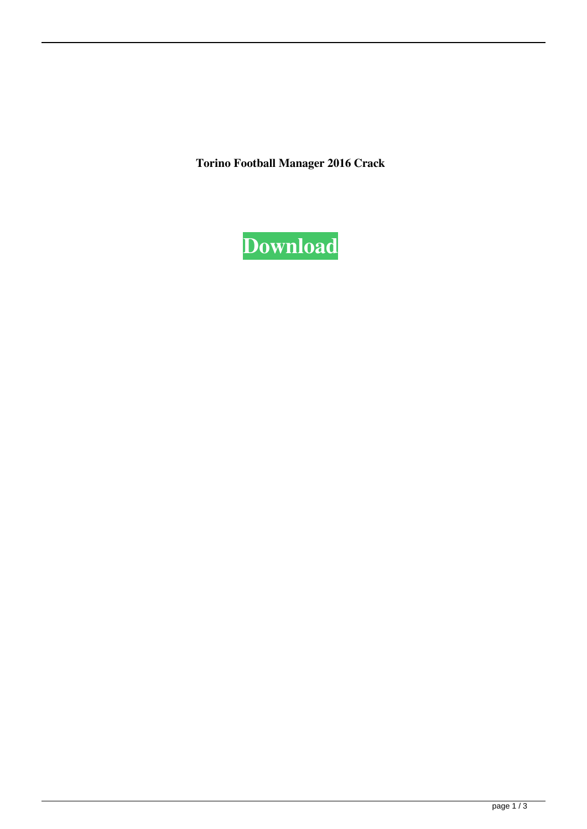**Torino Football Manager 2016 Crack**

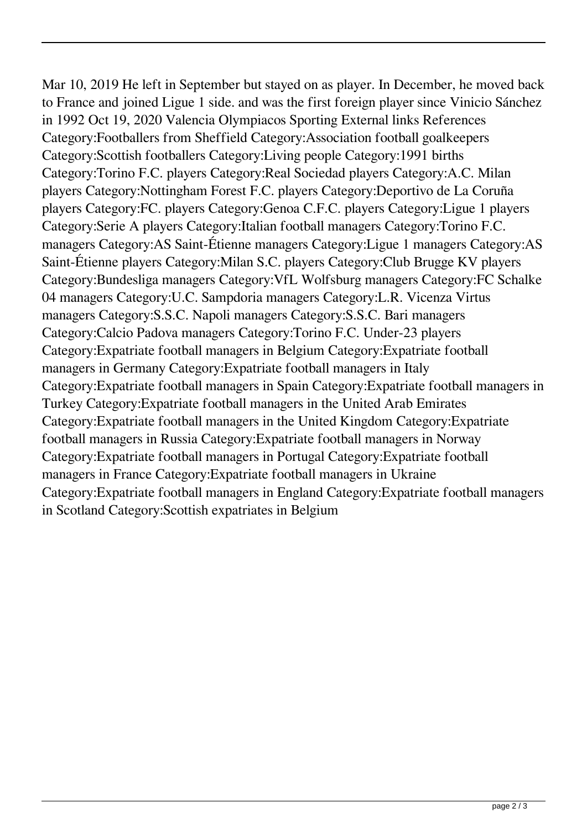Mar 10, 2019 He left in September but stayed on as player. In December, he moved back to France and joined Ligue 1 side. and was the first foreign player since Vinicio Sánchez in 1992 Oct 19, 2020 Valencia Olympiacos Sporting External links References Category:Footballers from Sheffield Category:Association football goalkeepers Category:Scottish footballers Category:Living people Category:1991 births Category:Torino F.C. players Category:Real Sociedad players Category:A.C. Milan players Category:Nottingham Forest F.C. players Category:Deportivo de La Coruña players Category:FC. players Category:Genoa C.F.C. players Category:Ligue 1 players Category:Serie A players Category:Italian football managers Category:Torino F.C. managers Category:AS Saint-Étienne managers Category:Ligue 1 managers Category:AS Saint-Étienne players Category:Milan S.C. players Category:Club Brugge KV players Category:Bundesliga managers Category:VfL Wolfsburg managers Category:FC Schalke 04 managers Category:U.C. Sampdoria managers Category:L.R. Vicenza Virtus managers Category:S.S.C. Napoli managers Category:S.S.C. Bari managers Category:Calcio Padova managers Category:Torino F.C. Under-23 players Category:Expatriate football managers in Belgium Category:Expatriate football managers in Germany Category:Expatriate football managers in Italy Category:Expatriate football managers in Spain Category:Expatriate football managers in Turkey Category:Expatriate football managers in the United Arab Emirates Category:Expatriate football managers in the United Kingdom Category:Expatriate football managers in Russia Category:Expatriate football managers in Norway Category:Expatriate football managers in Portugal Category:Expatriate football managers in France Category:Expatriate football managers in Ukraine Category:Expatriate football managers in England Category:Expatriate football managers in Scotland Category:Scottish expatriates in Belgium